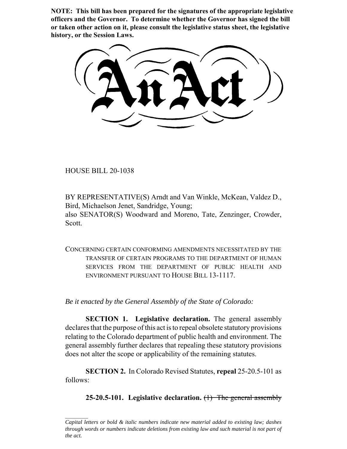**NOTE: This bill has been prepared for the signatures of the appropriate legislative officers and the Governor. To determine whether the Governor has signed the bill or taken other action on it, please consult the legislative status sheet, the legislative history, or the Session Laws.**

HOUSE BILL 20-1038

BY REPRESENTATIVE(S) Arndt and Van Winkle, McKean, Valdez D., Bird, Michaelson Jenet, Sandridge, Young; also SENATOR(S) Woodward and Moreno, Tate, Zenzinger, Crowder, Scott.

CONCERNING CERTAIN CONFORMING AMENDMENTS NECESSITATED BY THE TRANSFER OF CERTAIN PROGRAMS TO THE DEPARTMENT OF HUMAN SERVICES FROM THE DEPARTMENT OF PUBLIC HEALTH AND ENVIRONMENT PURSUANT TO HOUSE BILL 13-1117.

*Be it enacted by the General Assembly of the State of Colorado:*

**SECTION 1. Legislative declaration.** The general assembly declares that the purpose of this act is to repeal obsolete statutory provisions relating to the Colorado department of public health and environment. The general assembly further declares that repealing these statutory provisions does not alter the scope or applicability of the remaining statutes.

**SECTION 2.** In Colorado Revised Statutes, **repeal** 25-20.5-101 as follows:

**25-20.5-101. Legislative declaration.** (1) The general assembly

*Capital letters or bold & italic numbers indicate new material added to existing law; dashes through words or numbers indicate deletions from existing law and such material is not part of the act.*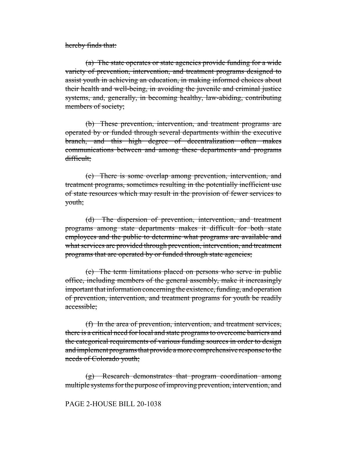hereby finds that:

(a) The state operates or state agencies provide funding for a wide variety of prevention, intervention, and treatment programs designed to assist youth in achieving an education, in making informed choices about their health and well-being, in avoiding the juvenile and criminal justice systems, and, generally, in becoming healthy, law-abiding, contributing members of society;

(b) These prevention, intervention, and treatment programs are operated by or funded through several departments within the executive branch, and this high degree of decentralization often makes communications between and among these departments and programs difficult;

(c) There is some overlap among prevention, intervention, and treatment programs, sometimes resulting in the potentially inefficient use of state resources which may result in the provision of fewer services to youth;

(d) The dispersion of prevention, intervention, and treatment programs among state departments makes it difficult for both state employees and the public to determine what programs are available and what services are provided through prevention, intervention, and treatment programs that are operated by or funded through state agencies;

(e) The term limitations placed on persons who serve in public office, including members of the general assembly, make it increasingly important that information concerning the existence, funding, and operation of prevention, intervention, and treatment programs for youth be readily accessible;

(f) In the area of prevention, intervention, and treatment services, there is a critical need for local and state programs to overcome barriers and the categorical requirements of various funding sources in order to design and implement programs that provide a more comprehensive response to the needs of Colorado youth;

(g) Research demonstrates that program coordination among multiple systems for the purpose of improving prevention, intervention, and

## PAGE 2-HOUSE BILL 20-1038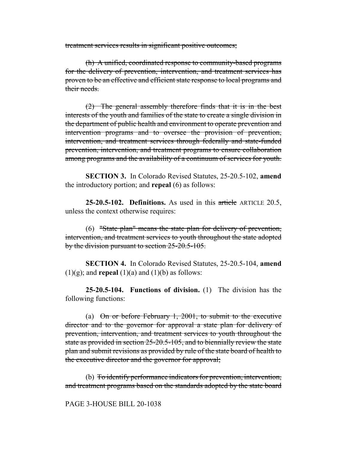treatment services results in significant positive outcomes;

(h) A unified, coordinated response to community-based programs for the delivery of prevention, intervention, and treatment services has proven to be an effective and efficient state response to local programs and their needs.

 $(2)$  The general assembly therefore finds that it is in the best interests of the youth and families of the state to create a single division in the department of public health and environment to operate prevention and intervention programs and to oversee the provision of prevention, intervention, and treatment services through federally and state-funded prevention, intervention, and treatment programs to ensure collaboration among programs and the availability of a continuum of services for youth.

**SECTION 3.** In Colorado Revised Statutes, 25-20.5-102, **amend** the introductory portion; and **repeal** (6) as follows:

**25-20.5-102. Definitions.** As used in this article ARTICLE 20.5, unless the context otherwise requires:

(6) "State plan" means the state plan for delivery of prevention, intervention, and treatment services to youth throughout the state adopted by the division pursuant to section 25-20.5-105.

**SECTION 4.** In Colorado Revised Statutes, 25-20.5-104, **amend**  $(1)(g)$ ; and **repeal**  $(1)(a)$  and  $(1)(b)$  as follows:

**25-20.5-104. Functions of division.** (1) The division has the following functions:

(a)  $\Theta$  or before February 1, 2001, to submit to the executive director and to the governor for approval a state plan for delivery of prevention, intervention, and treatment services to youth throughout the state as provided in section 25-20.5-105, and to biennially review the state plan and submit revisions as provided by rule of the state board of health to the executive director and the governor for approval;

(b) To identify performance indicators for prevention, intervention, and treatment programs based on the standards adopted by the state board

#### PAGE 3-HOUSE BILL 20-1038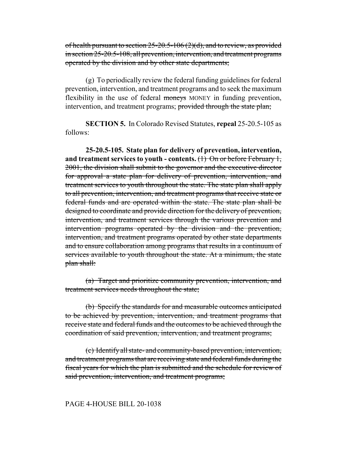of health pursuant to section  $25-20.5-106(2)(d)$ , and to review, as provided in section 25-20.5-108, all prevention, intervention, and treatment programs operated by the division and by other state departments;

(g) To periodically review the federal funding guidelines for federal prevention, intervention, and treatment programs and to seek the maximum flexibility in the use of federal moneys MONEY in funding prevention, intervention, and treatment programs; provided through the state plan;

**SECTION 5.** In Colorado Revised Statutes, **repeal** 25-20.5-105 as follows:

**25-20.5-105. State plan for delivery of prevention, intervention,** and treatment services to youth - contents. (1) On or before February 1, 2001, the division shall submit to the governor and the executive director for approval a state plan for delivery of prevention, intervention, and treatment services to youth throughout the state. The state plan shall apply to all prevention, intervention, and treatment programs that receive state or federal funds and are operated within the state. The state plan shall be designed to coordinate and provide direction for the delivery of prevention, intervention, and treatment services through the various prevention and intervention programs operated by the division and the prevention, intervention, and treatment programs operated by other state departments and to ensure collaboration among programs that results in a continuum of services available to youth throughout the state. At a minimum, the state plan shall:

(a) Target and prioritize community prevention, intervention, and treatment services needs throughout the state;

(b) Specify the standards for and measurable outcomes anticipated to be achieved by prevention, intervention, and treatment programs that receive state and federal funds and the outcomes to be achieved through the coordination of said prevention, intervention, and treatment programs;

(c) Identify all state- and community-based prevention, intervention, and treatment programs that are receiving state and federal funds during the fiscal years for which the plan is submitted and the schedule for review of said prevention, intervention, and treatment programs;

#### PAGE 4-HOUSE BILL 20-1038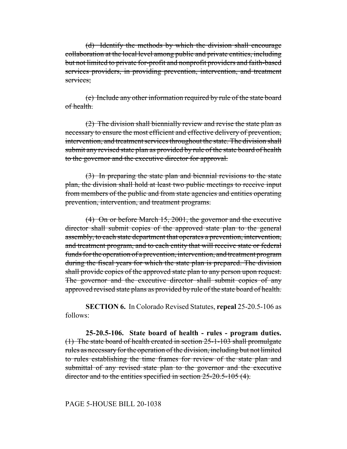(d) Identify the methods by which the division shall encourage collaboration at the local level among public and private entities, including but not limited to private for-profit and nonprofit providers and faith-based services providers, in providing prevention, intervention, and treatment services:

(e) Include any other information required by rule of the state board of health.

(2) The division shall biennially review and revise the state plan as necessary to ensure the most efficient and effective delivery of prevention, intervention, and treatment services throughout the state. The division shall submit any revised state plan as provided by rule of the state board of health to the governor and the executive director for approval.

(3) In preparing the state plan and biennial revisions to the state plan, the division shall hold at least two public meetings to receive input from members of the public and from state agencies and entities operating prevention, intervention, and treatment programs.

(4) On or before March 15, 2001, the governor and the executive director shall submit copies of the approved state plan to the general assembly, to each state department that operates a prevention, intervention, and treatment program, and to each entity that will receive state or federal funds for the operation of a prevention, intervention, and treatment program during the fiscal years for which the state plan is prepared. The division shall provide copies of the approved state plan to any person upon request. The governor and the executive director shall submit copies of any approved revised state plans as provided by rule of the state board of health.

**SECTION 6.** In Colorado Revised Statutes, **repeal** 25-20.5-106 as follows:

**25-20.5-106. State board of health - rules - program duties.** (1) The state board of health created in section 25-1-103 shall promulgate rules as necessary for the operation of the division, including but not limited to rules establishing the time frames for review of the state plan and submittal of any revised state plan to the governor and the executive director and to the entities specified in section 25-20.5-105 (4).

#### PAGE 5-HOUSE BILL 20-1038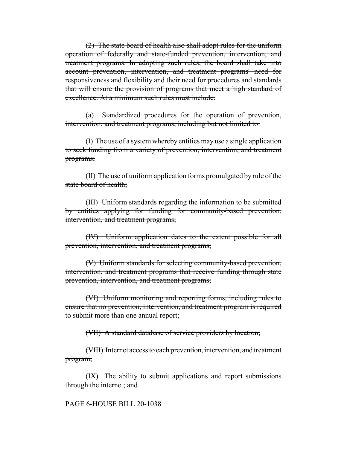(2) The state board of health also shall adopt rules for the uniform operation of federally and state-funded prevention, intervention, and treatment programs. In adopting such rules, the board shall take into account prevention, intervention, and treatment programs' need for responsiveness and flexibility and their need for procedures and standards that will ensure the provision of programs that meet a high standard of excellence. At a minimum such rules must include:

(a) Standardized procedures for the operation of prevention, intervention, and treatment programs, including but not limited to:

(I) The use of a system whereby entities may use a single application to seek funding from a variety of prevention, intervention, and treatment programs;

(II) The use of uniform application forms promulgated by rule of the state board of health;

(III) Uniform standards regarding the information to be submitted by entities applying for funding for community-based prevention, intervention, and treatment programs;

(IV) Uniform application dates to the extent possible for all prevention, intervention, and treatment programs;

(V) Uniform standards for selecting community-based prevention, intervention, and treatment programs that receive funding through state prevention, intervention, and treatment programs;

(VI) Uniform monitoring and reporting forms, including rules to ensure that no prevention, intervention, and treatment program is required to submit more than one annual report;

(VII) A standard database of service providers by location;

(VIII) Internet access to each prevention, intervention, and treatment program;

(IX) The ability to submit applications and report submissions through the internet; and

PAGE 6-HOUSE BILL 20-1038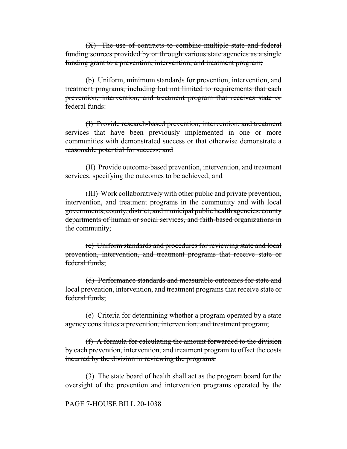(X) The use of contracts to combine multiple state and federal funding sources provided by or through various state agencies as a single funding grant to a prevention, intervention, and treatment program;

(b) Uniform, minimum standards for prevention, intervention, and treatment programs, including but not limited to requirements that each prevention, intervention, and treatment program that receives state or federal funds:

(I) Provide research-based prevention, intervention, and treatment services that have been previously implemented in one or more communities with demonstrated success or that otherwise demonstrate a reasonable potential for success; and

(II) Provide outcome-based prevention, intervention, and treatment services, specifying the outcomes to be achieved; and

(III) Work collaboratively with other public and private prevention, intervention, and treatment programs in the community and with local governments, county, district, and municipal public health agencies, county departments of human or social services, and faith-based organizations in the community;

(c) Uniform standards and procedures for reviewing state and local prevention, intervention, and treatment programs that receive state or federal funds;

(d) Performance standards and measurable outcomes for state and local prevention, intervention, and treatment programs that receive state or federal funds;

(e) Criteria for determining whether a program operated by a state agency constitutes a prevention, intervention, and treatment program;

(f) A formula for calculating the amount forwarded to the division by each prevention, intervention, and treatment program to offset the costs incurred by the division in reviewing the programs.

(3) The state board of health shall act as the program board for the oversight of the prevention and intervention programs operated by the

#### PAGE 7-HOUSE BILL 20-1038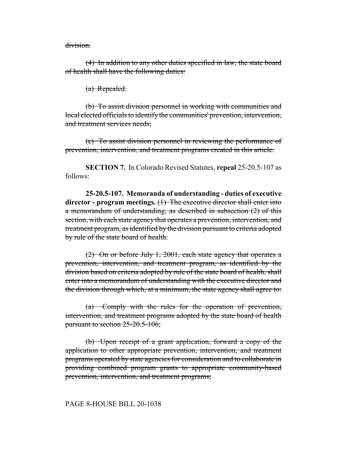division.

(4) In addition to any other duties specified in law, the state board of health shall have the following duties:

(a) Repealed.

(b) To assist division personnel in working with communities and local elected officials to identify the communities' prevention, intervention, and treatment services needs;

(c) To assist division personnel in reviewing the performance of prevention, intervention, and treatment programs created in this article.

**SECTION 7.** In Colorado Revised Statutes, **repeal** 25-20.5-107 as follows:

**25-20.5-107. Memoranda of understanding - duties of executive director - program meetings.** (1) The executive director shall enter into a memorandum of understanding, as described in subsection (2) of this section, with each state agency that operates a prevention, intervention, and treatment program, as identified by the division pursuant to criteria adopted by rule of the state board of health.

(2) On or before July 1, 2001, each state agency that operates a prevention, intervention, and treatment program, as identified by the division based on criteria adopted by rule of the state board of health, shall enter into a memorandum of understanding with the executive director and the division through which, at a minimum, the state agency shall agree to:

(a) Comply with the rules for the operation of prevention, intervention, and treatment programs adopted by the state board of health pursuant to section 25-20.5-106;

(b) Upon receipt of a grant application, forward a copy of the application to other appropriate prevention, intervention, and treatment programs operated by state agencies for consideration and to collaborate in providing combined program grants to appropriate community-based prevention, intervention, and treatment programs;

## PAGE 8-HOUSE BILL 20-1038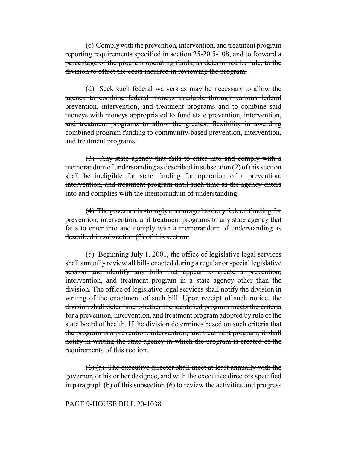(c) Comply with the prevention, intervention, and treatment program reporting requirements specified in section 25-20.5-108, and to forward a percentage of the program operating funds, as determined by rule, to the division to offset the costs incurred in reviewing the program;

(d) Seek such federal waivers as may be necessary to allow the agency to combine federal moneys available through various federal prevention, intervention, and treatment programs and to combine said moneys with moneys appropriated to fund state prevention, intervention, and treatment programs to allow the greatest flexibility in awarding combined program funding to community-based prevention, intervention, and treatment programs.

(3) Any state agency that fails to enter into and comply with a memorandum of understanding as described in subsection (2) of this section shall be ineligible for state funding for operation of a prevention, intervention, and treatment program until such time as the agency enters into and complies with the memorandum of understanding.

(4) The governor is strongly encouraged to deny federal funding for prevention, intervention, and treatment programs to any state agency that fails to enter into and comply with a memorandum of understanding as described in subsection (2) of this section.

(5) Beginning July 1, 2001, the office of legislative legal services shall annually review all bills enacted during a regular or special legislative session and identify any bills that appear to create a prevention, intervention, and treatment program in a state agency other than the division. The office of legislative legal services shall notify the division in writing of the enactment of such bill. Upon receipt of such notice, the division shall determine whether the identified program meets the criteria for a prevention, intervention, and treatment program adopted by rule of the state board of health. If the division determines based on such criteria that the program is a prevention, intervention, and treatment program, it shall notify in writing the state agency in which the program is created of the requirements of this section.

 $(6)$  (a) The executive director shall meet at least annually with the governor, or his or her designee, and with the executive directors specified in paragraph (b) of this subsection (6) to review the activities and progress

## PAGE 9-HOUSE BILL 20-1038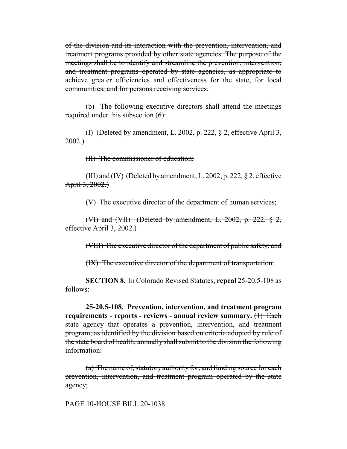of the division and its interaction with the prevention, intervention, and treatment programs provided by other state agencies. The purpose of the meetings shall be to identify and streamline the prevention, intervention, and treatment programs operated by state agencies, as appropriate to achieve greater efficiencies and effectiveness for the state, for local communities, and for persons receiving services.

(b) The following executive directors shall attend the meetings required under this subsection (6):

(I) (Deleted by amendment, L. 2002, p. 222, § 2, effective April 3,  $2002.$ 

(II) The commissioner of education;

(III) and (IV) (Deleted by amendment, L. 2002, p. 222,  $\S$  2, effective April  $3, 2002.$ 

(V) The executive director of the department of human services;

(VI) and (VII) (Deleted by amendment, L. 2002, p. 222,  $\S$  2, effective April 3, 2002.

(VIII) The executive director of the department of public safety; and

(IX) The executive director of the department of transportation.

**SECTION 8.** In Colorado Revised Statutes, **repeal** 25-20.5-108 as follows:

**25-20.5-108. Prevention, intervention, and treatment program requirements - reports - reviews - annual review summary.** (1) Each state agency that operates a prevention, intervention, and treatment program, as identified by the division based on criteria adopted by rule of the state board of health, annually shall submit to the division the following information:

(a) The name of, statutory authority for, and funding source for each prevention, intervention, and treatment program operated by the state agency;

PAGE 10-HOUSE BILL 20-1038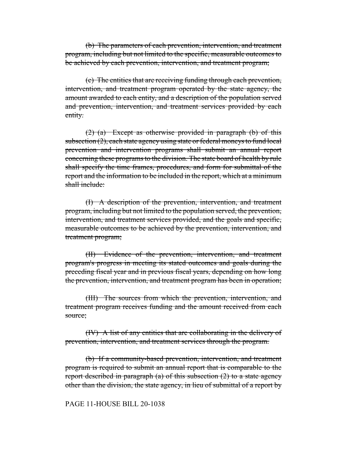(b) The parameters of each prevention, intervention, and treatment program, including but not limited to the specific, measurable outcomes to be achieved by each prevention, intervention, and treatment program;

(c) The entities that are receiving funding through each prevention, intervention, and treatment program operated by the state agency, the amount awarded to each entity, and a description of the population served and prevention, intervention, and treatment services provided by each entity.

 $(2)$  (a) Except as otherwise provided in paragraph (b) of this subsection (2), each state agency using state or federal moneys to fund local prevention and intervention programs shall submit an annual report concerning these programs to the division. The state board of health by rule shall specify the time frames, procedures, and form for submittal of the report and the information to be included in the report, which at a minimum shall include:

(I) A description of the prevention, intervention, and treatment program, including but not limited to the population served, the prevention, intervention, and treatment services provided, and the goals and specific, measurable outcomes to be achieved by the prevention, intervention, and treatment program;

(II) Evidence of the prevention, intervention, and treatment program's progress in meeting its stated outcomes and goals during the preceding fiscal year and in previous fiscal years, depending on how long the prevention, intervention, and treatment program has been in operation;

(III) The sources from which the prevention, intervention, and treatment program receives funding and the amount received from each source;

(IV) A list of any entities that are collaborating in the delivery of prevention, intervention, and treatment services through the program.

(b) If a community-based prevention, intervention, and treatment program is required to submit an annual report that is comparable to the report described in paragraph (a) of this subsection  $(2)$  to a state agency other than the division, the state agency, in lieu of submittal of a report by

## PAGE 11-HOUSE BILL 20-1038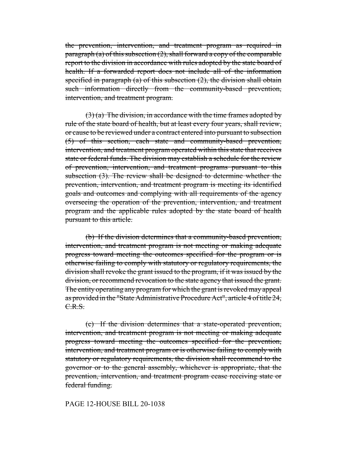the prevention, intervention, and treatment program as required in paragraph (a) of this subsection  $(2)$ , shall forward a copy of the comparable report to the division in accordance with rules adopted by the state board of health. If a forwarded report does not include all of the information specified in paragraph (a) of this subsection  $(2)$ , the division shall obtain such information directly from the community-based prevention, intervention, and treatment program.

 $(3)$  (a) The division, in accordance with the time frames adopted by rule of the state board of health, but at least every four years, shall review, or cause to be reviewed under a contract entered into pursuant to subsection (5) of this section, each state and community-based prevention, intervention, and treatment program operated within this state that receives state or federal funds. The division may establish a schedule for the review of prevention, intervention, and treatment programs pursuant to this subsection (3). The review shall be designed to determine whether the prevention, intervention, and treatment program is meeting its identified goals and outcomes and complying with all requirements of the agency overseeing the operation of the prevention, intervention, and treatment program and the applicable rules adopted by the state board of health pursuant to this article.

(b) If the division determines that a community-based prevention, intervention, and treatment program is not meeting or making adequate progress toward meeting the outcomes specified for the program or is otherwise failing to comply with statutory or regulatory requirements, the division shall revoke the grant issued to the program, if it was issued by the division, or recommend revocation to the state agency that issued the grant. The entity operating any program for which the grant is revoked may appeal as provided in the "State Administrative Procedure Act", article 4 of title 24, C.R.S.

(c) If the division determines that a state-operated prevention, intervention, and treatment program is not meeting or making adequate progress toward meeting the outcomes specified for the prevention, intervention, and treatment program or is otherwise failing to comply with statutory or regulatory requirements, the division shall recommend to the governor or to the general assembly, whichever is appropriate, that the prevention, intervention, and treatment program cease receiving state or federal funding.

# PAGE 12-HOUSE BILL 20-1038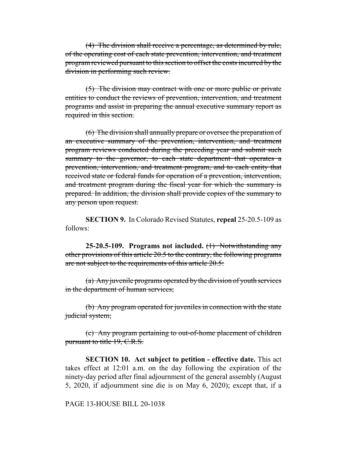(4) The division shall receive a percentage, as determined by rule, of the operating cost of each state prevention, intervention, and treatment program reviewed pursuant to this section to offset the costs incurred by the division in performing such review.

(5) The division may contract with one or more public or private entities to conduct the reviews of prevention, intervention, and treatment programs and assist in preparing the annual executive summary report as required in this section.

(6) The division shall annually prepare or oversee the preparation of an executive summary of the prevention, intervention, and treatment program reviews conducted during the preceding year and submit such summary to the governor, to each state department that operates a prevention, intervention, and treatment program, and to each entity that received state or federal funds for operation of a prevention, intervention, and treatment program during the fiscal year for which the summary is prepared. In addition, the division shall provide copies of the summary to any person upon request.

**SECTION 9.** In Colorado Revised Statutes, **repeal** 25-20.5-109 as follows:

**25-20.5-109. Programs not included.** (1) Notwithstanding any other provisions of this article 20.5 to the contrary, the following programs are not subject to the requirements of this article 20.5:

(a) Any juvenile programs operated by the division of youth services in the department of human services;

(b) Any program operated for juveniles in connection with the state judicial system;

(c) Any program pertaining to out-of-home placement of children pursuant to title 19, C.R.S.

**SECTION 10. Act subject to petition - effective date.** This act takes effect at 12:01 a.m. on the day following the expiration of the ninety-day period after final adjournment of the general assembly (August 5, 2020, if adjournment sine die is on May 6, 2020); except that, if a

## PAGE 13-HOUSE BILL 20-1038